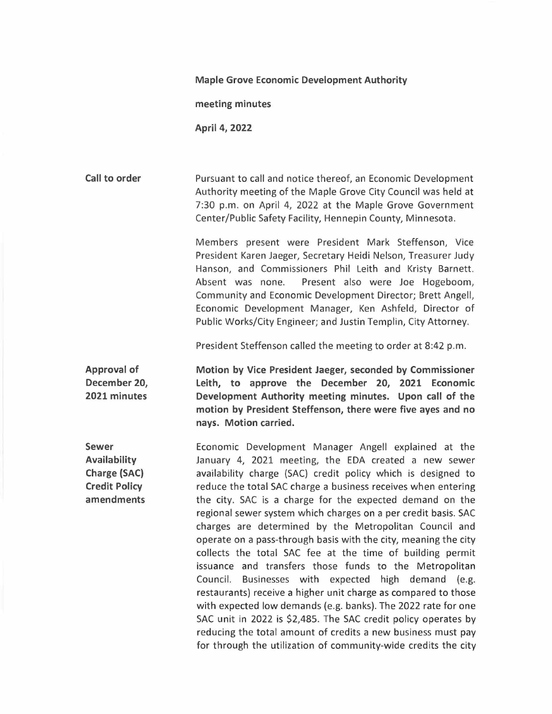## **Maple Grove Economic Development Authority**

**meeting minutes** 

**April 4, 2022** 

**Call to order**  Pursuant to call and notice thereof, an Economic Development Authority meeting of the Maple Grove City Council was held at 7:30 p.m. on April 4, 2022 at the Maple Grove Government Center/Public Safety Facility, Hennepin County, Minnesota.

> Members present were President Mark Steffenson, Vice President Karen Jaeger, Secretary Heidi Nelson, Treasurer Judy Hanson, and Commissioners Phil Leith and Kristy Barnett. Absent was none. Present also were Joe Hogeboom, Community and Economic Development Director; Brett Angell, Economic Development Manager, Ken Ashfeld, Director of Public Works/City Engineer; and Justin Templin, City Attorney.

President Steffenson called the meeting to order at 8:42 p.m.

**Approval of December 20, 2021 minutes Motion by Vice President Jaeger, seconded by Commissioner Leith, to approve the December 20, 2021 Economic Development Authority meeting minutes. Upon call of the motion by President Steffenson, there were five ayes and no nays. Motion carried.** 

**Sewer Availability Charge (SAC) Credit Policy amendments**  Economic Development Manager Angell explained at the January 4, 2021 meeting, the EDA created a new sewer availability charge (SAC) credit policy which is designed to reduce the total SAC charge a business receives when entering the city. SAC is a charge for the expected demand on the regional sewer system which charges on a per credit basis. SAC charges are determined by the Metropolitan Council and operate on a pass-through basis with the city, meaning the city collects the total SAC fee at the time of building permit issuance and transfers those funds to the Metropolitan Council. Businesses with expected high demand (e.g. restaurants) receive a higher unit charge as compared to those with expected low demands (e.g. banks). The 2022 rate for one SAC unit in 2022 is \$2,485. The SAC credit policy operates by reducing the total amount of credits a new business must pay for through the utilization of community-wide credits the city